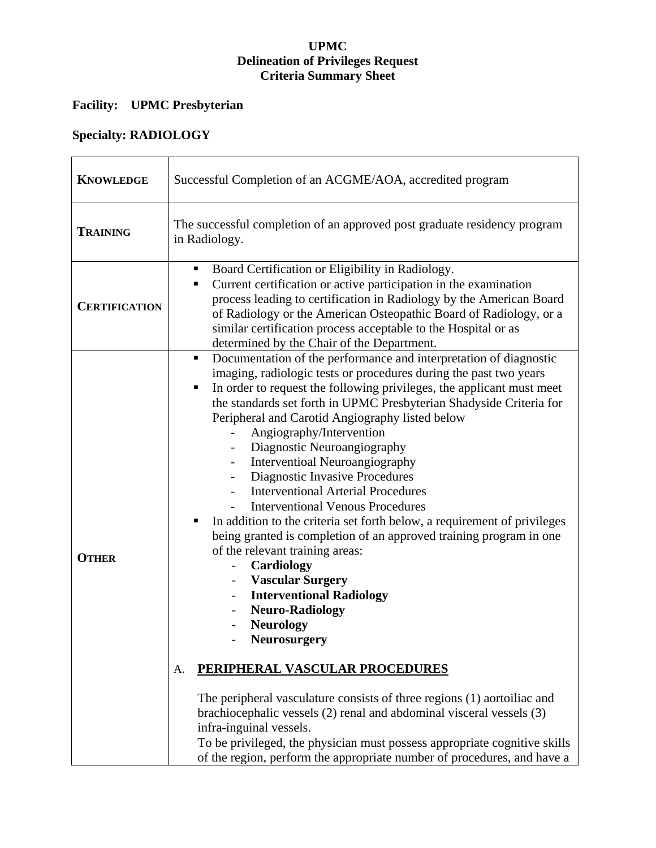### **UPMC Delineation of Privileges Request Criteria Summary Sheet**

# **Facility: UPMC Presbyterian**

# **Specialty: RADIOLOGY**

|                      | The successful completion of an approved post graduate residency program                                                                                                                                                                                                                                                                                                                                                                                                                                                                                                                                                                                                                                                                                                                                                                                                                                                                                                                                                                                                                                                                                                                                                                                                                                                                                                                                                                            |
|----------------------|-----------------------------------------------------------------------------------------------------------------------------------------------------------------------------------------------------------------------------------------------------------------------------------------------------------------------------------------------------------------------------------------------------------------------------------------------------------------------------------------------------------------------------------------------------------------------------------------------------------------------------------------------------------------------------------------------------------------------------------------------------------------------------------------------------------------------------------------------------------------------------------------------------------------------------------------------------------------------------------------------------------------------------------------------------------------------------------------------------------------------------------------------------------------------------------------------------------------------------------------------------------------------------------------------------------------------------------------------------------------------------------------------------------------------------------------------------|
| <b>TRAINING</b>      | in Radiology.                                                                                                                                                                                                                                                                                                                                                                                                                                                                                                                                                                                                                                                                                                                                                                                                                                                                                                                                                                                                                                                                                                                                                                                                                                                                                                                                                                                                                                       |
| <b>CERTIFICATION</b> | Board Certification or Eligibility in Radiology.<br>п<br>Current certification or active participation in the examination<br>٠<br>process leading to certification in Radiology by the American Board<br>of Radiology or the American Osteopathic Board of Radiology, or a<br>similar certification process acceptable to the Hospital or as<br>determined by the Chair of the Department.                                                                                                                                                                                                                                                                                                                                                                                                                                                                                                                                                                                                                                                                                                                                                                                                                                                                                                                                                                                                                                                          |
| <b>OTHER</b>         | Documentation of the performance and interpretation of diagnostic<br>٠<br>imaging, radiologic tests or procedures during the past two years<br>In order to request the following privileges, the applicant must meet<br>п<br>the standards set forth in UPMC Presbyterian Shadyside Criteria for<br>Peripheral and Carotid Angiography listed below<br>Angiography/Intervention<br>Diagnostic Neuroangiography<br>Interventioal Neuroangiography<br>$\qquad \qquad \blacksquare$<br>Diagnostic Invasive Procedures<br>$\overline{\phantom{a}}$<br><b>Interventional Arterial Procedures</b><br><b>Interventional Venous Procedures</b><br>In addition to the criteria set forth below, a requirement of privileges<br>٠<br>being granted is completion of an approved training program in one<br>of the relevant training areas:<br>Cardiology<br><b>Vascular Surgery</b><br>$\overline{\phantom{a}}$<br><b>Interventional Radiology</b><br>$\overline{\phantom{a}}$<br><b>Neuro-Radiology</b><br>$\overline{\phantom{a}}$<br><b>Neurology</b><br><b>Neurosurgery</b><br>PERIPHERAL VASCULAR PROCEDURES<br>А.<br>The peripheral vasculature consists of three regions (1) aortoiliac and<br>brachiocephalic vessels (2) renal and abdominal visceral vessels (3)<br>infra-inguinal vessels.<br>To be privileged, the physician must possess appropriate cognitive skills<br>of the region, perform the appropriate number of procedures, and have a |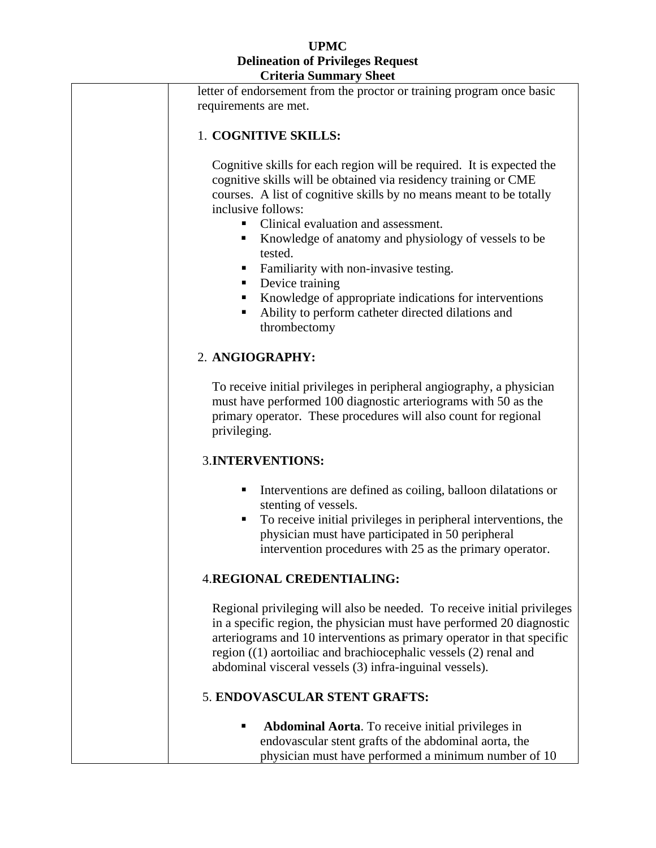#### **UPMC Delineation of Privileges Request Criteria Summary Sheet**

| $\sum$                                                                                                                                                                                                                                                                                                                                                                                                                                                                                                                                                           |
|------------------------------------------------------------------------------------------------------------------------------------------------------------------------------------------------------------------------------------------------------------------------------------------------------------------------------------------------------------------------------------------------------------------------------------------------------------------------------------------------------------------------------------------------------------------|
| letter of endorsement from the proctor or training program once basic                                                                                                                                                                                                                                                                                                                                                                                                                                                                                            |
| requirements are met.                                                                                                                                                                                                                                                                                                                                                                                                                                                                                                                                            |
|                                                                                                                                                                                                                                                                                                                                                                                                                                                                                                                                                                  |
| 1. COGNITIVE SKILLS:                                                                                                                                                                                                                                                                                                                                                                                                                                                                                                                                             |
| Cognitive skills for each region will be required. It is expected the<br>cognitive skills will be obtained via residency training or CME<br>courses. A list of cognitive skills by no means meant to be totally<br>inclusive follows:<br>Clinical evaluation and assessment.<br>Knowledge of anatomy and physiology of vessels to be<br>ш<br>tested.<br>Familiarity with non-invasive testing.<br>Device training<br>п<br>Knowledge of appropriate indications for interventions<br>п<br>Ability to perform catheter directed dilations and<br>п<br>thrombectomy |
| 2. ANGIOGRAPHY:                                                                                                                                                                                                                                                                                                                                                                                                                                                                                                                                                  |
| To receive initial privileges in peripheral angiography, a physician<br>must have performed 100 diagnostic arteriograms with 50 as the<br>primary operator. These procedures will also count for regional<br>privileging.                                                                                                                                                                                                                                                                                                                                        |
| <b>3.INTERVENTIONS:</b>                                                                                                                                                                                                                                                                                                                                                                                                                                                                                                                                          |
| Interventions are defined as coiling, balloon dilatations or<br>п<br>stenting of vessels.<br>To receive initial privileges in peripheral interventions, the<br>physician must have participated in 50 peripheral<br>intervention procedures with 25 as the primary operator.                                                                                                                                                                                                                                                                                     |
| <b>4.REGIONAL CREDENTIALING:</b>                                                                                                                                                                                                                                                                                                                                                                                                                                                                                                                                 |
| Regional privileging will also be needed. To receive initial privileges<br>in a specific region, the physician must have performed 20 diagnostic<br>arteriograms and 10 interventions as primary operator in that specific<br>region ((1) aortoiliac and brachiocephalic vessels (2) renal and<br>abdominal visceral vessels (3) infra-inguinal vessels).                                                                                                                                                                                                        |
| 5. ENDOVASCULAR STENT GRAFTS:                                                                                                                                                                                                                                                                                                                                                                                                                                                                                                                                    |
| <b>Abdominal Aorta</b> . To receive initial privileges in<br>endovascular stent grafts of the abdominal aorta, the<br>physician must have performed a minimum number of 10                                                                                                                                                                                                                                                                                                                                                                                       |